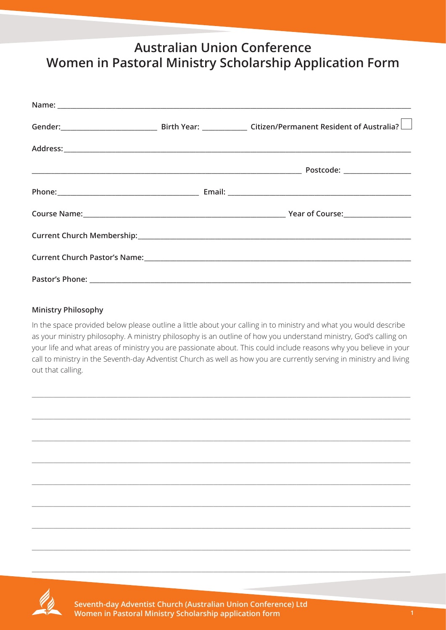## **Australian Union Conference** Women in Pastoral Ministry Scholarship Application Form

|  | Gender: Citizen/Permanent Resident of Australia? |
|--|--------------------------------------------------|
|  |                                                  |
|  |                                                  |
|  |                                                  |
|  |                                                  |
|  |                                                  |
|  |                                                  |
|  |                                                  |

## **Ministry Philosophy**

In the space provided below please outline a little about your calling in to ministry and what you would describe as your ministry philosophy. A ministry philosophy is an outline of how you understand ministry, God's calling on your life and what areas of ministry you are passionate about. This could include reasons why you believe in your call to ministry in the Seventh-day Adventist Church as well as how you are currently serving in ministry and living out that calling.





Seventh-day Adventist Church (Australian Union Conference) Ltd Women in Pastoral Ministry Scholarship application form